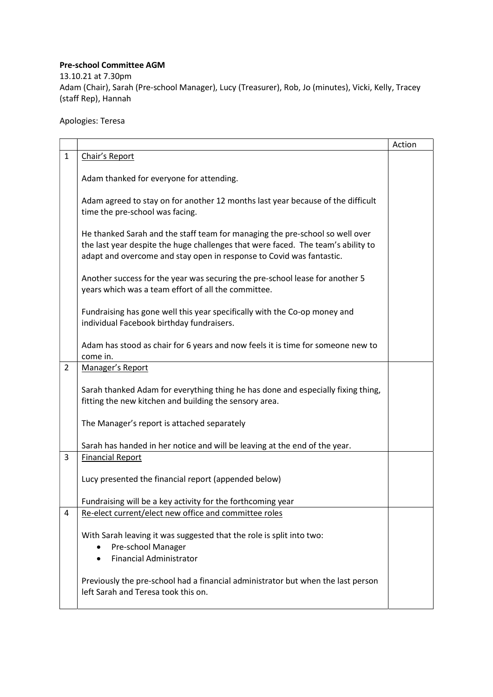## Pre-school Committee AGM

13.10.21 at 7.30pm Adam (Chair), Sarah (Pre-school Manager), Lucy (Treasurer), Rob, Jo (minutes), Vicki, Kelly, Tracey (staff Rep), Hannah

Apologies: Teresa

|                |                                                                                                                                                                                                                                          | Action |
|----------------|------------------------------------------------------------------------------------------------------------------------------------------------------------------------------------------------------------------------------------------|--------|
| $\mathbf{1}$   | Chair's Report                                                                                                                                                                                                                           |        |
|                | Adam thanked for everyone for attending.                                                                                                                                                                                                 |        |
|                | Adam agreed to stay on for another 12 months last year because of the difficult<br>time the pre-school was facing.                                                                                                                       |        |
|                | He thanked Sarah and the staff team for managing the pre-school so well over<br>the last year despite the huge challenges that were faced. The team's ability to<br>adapt and overcome and stay open in response to Covid was fantastic. |        |
|                | Another success for the year was securing the pre-school lease for another 5<br>years which was a team effort of all the committee.                                                                                                      |        |
|                | Fundraising has gone well this year specifically with the Co-op money and<br>individual Facebook birthday fundraisers.                                                                                                                   |        |
|                | Adam has stood as chair for 6 years and now feels it is time for someone new to<br>come in.                                                                                                                                              |        |
| $\overline{2}$ | Manager's Report                                                                                                                                                                                                                         |        |
|                | Sarah thanked Adam for everything thing he has done and especially fixing thing,<br>fitting the new kitchen and building the sensory area.                                                                                               |        |
|                | The Manager's report is attached separately                                                                                                                                                                                              |        |
|                | Sarah has handed in her notice and will be leaving at the end of the year.                                                                                                                                                               |        |
| 3              | <b>Financial Report</b>                                                                                                                                                                                                                  |        |
|                | Lucy presented the financial report (appended below)                                                                                                                                                                                     |        |
|                | Fundraising will be a key activity for the forthcoming year                                                                                                                                                                              |        |
| 4              | Re-elect current/elect new office and committee roles                                                                                                                                                                                    |        |
|                | With Sarah leaving it was suggested that the role is split into two:<br>Pre-school Manager<br><b>Financial Administrator</b><br>$\bullet$                                                                                                |        |
|                | Previously the pre-school had a financial administrator but when the last person<br>left Sarah and Teresa took this on.                                                                                                                  |        |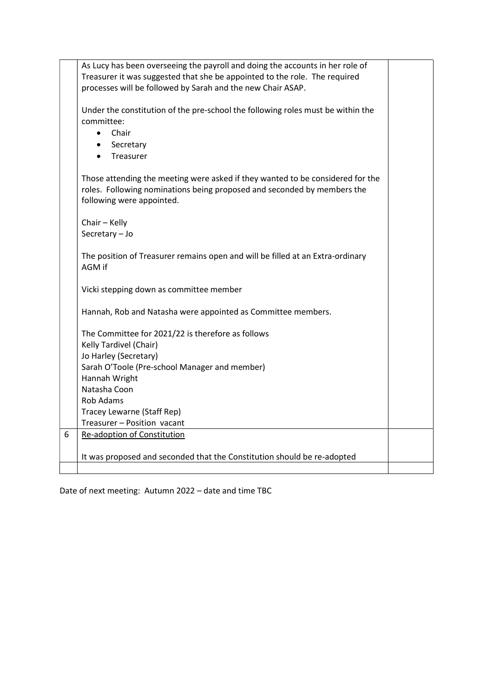|   | As Lucy has been overseeing the payroll and doing the accounts in her role of   |  |
|---|---------------------------------------------------------------------------------|--|
|   | Treasurer it was suggested that she be appointed to the role. The required      |  |
|   | processes will be followed by Sarah and the new Chair ASAP.                     |  |
|   |                                                                                 |  |
|   |                                                                                 |  |
|   | Under the constitution of the pre-school the following roles must be within the |  |
|   | committee:                                                                      |  |
|   | Chair<br>$\bullet$                                                              |  |
|   | Secretary<br>$\bullet$                                                          |  |
|   | Treasurer<br>$\bullet$                                                          |  |
|   |                                                                                 |  |
|   | Those attending the meeting were asked if they wanted to be considered for the  |  |
|   | roles. Following nominations being proposed and seconded by members the         |  |
|   | following were appointed.                                                       |  |
|   |                                                                                 |  |
|   | Chair - Kelly                                                                   |  |
|   | Secretary - Jo                                                                  |  |
|   |                                                                                 |  |
|   |                                                                                 |  |
|   | The position of Treasurer remains open and will be filled at an Extra-ordinary  |  |
|   | AGM if                                                                          |  |
|   |                                                                                 |  |
|   | Vicki stepping down as committee member                                         |  |
|   |                                                                                 |  |
|   | Hannah, Rob and Natasha were appointed as Committee members.                    |  |
|   |                                                                                 |  |
|   | The Committee for 2021/22 is therefore as follows                               |  |
|   | Kelly Tardivel (Chair)                                                          |  |
|   | Jo Harley (Secretary)                                                           |  |
|   | Sarah O'Toole (Pre-school Manager and member)                                   |  |
|   | Hannah Wright                                                                   |  |
|   | Natasha Coon                                                                    |  |
|   | Rob Adams                                                                       |  |
|   | Tracey Lewarne (Staff Rep)                                                      |  |
|   | Treasurer - Position vacant                                                     |  |
| 6 | <b>Re-adoption of Constitution</b>                                              |  |
|   |                                                                                 |  |
|   |                                                                                 |  |
|   | It was proposed and seconded that the Constitution should be re-adopted         |  |
|   |                                                                                 |  |

Date of next meeting: Autumn 2022 – date and time TBC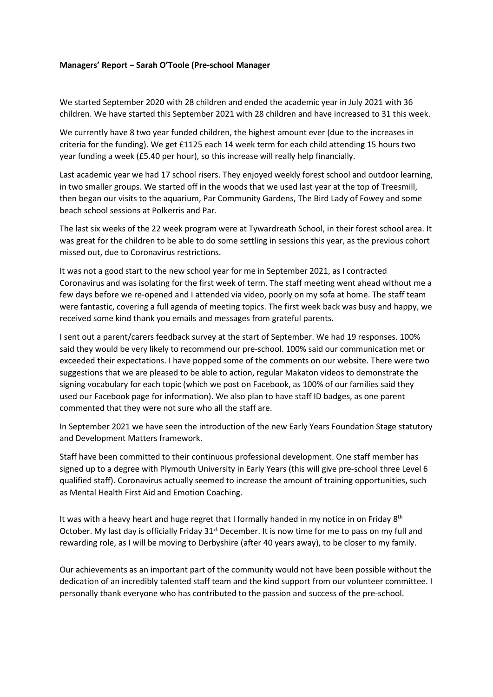## Managers' Report – Sarah O'Toole (Pre-school Manager

We started September 2020 with 28 children and ended the academic year in July 2021 with 36 children. We have started this September 2021 with 28 children and have increased to 31 this week.

We currently have 8 two year funded children, the highest amount ever (due to the increases in criteria for the funding). We get £1125 each 14 week term for each child attending 15 hours two year funding a week (£5.40 per hour), so this increase will really help financially.

Last academic year we had 17 school risers. They enjoyed weekly forest school and outdoor learning, in two smaller groups. We started off in the woods that we used last year at the top of Treesmill, then began our visits to the aquarium, Par Community Gardens, The Bird Lady of Fowey and some beach school sessions at Polkerris and Par.

The last six weeks of the 22 week program were at Tywardreath School, in their forest school area. It was great for the children to be able to do some settling in sessions this year, as the previous cohort missed out, due to Coronavirus restrictions.

It was not a good start to the new school year for me in September 2021, as I contracted Coronavirus and was isolating for the first week of term. The staff meeting went ahead without me a few days before we re-opened and I attended via video, poorly on my sofa at home. The staff team were fantastic, covering a full agenda of meeting topics. The first week back was busy and happy, we received some kind thank you emails and messages from grateful parents.

I sent out a parent/carers feedback survey at the start of September. We had 19 responses. 100% said they would be very likely to recommend our pre-school. 100% said our communication met or exceeded their expectations. I have popped some of the comments on our website. There were two suggestions that we are pleased to be able to action, regular Makaton videos to demonstrate the signing vocabulary for each topic (which we post on Facebook, as 100% of our families said they used our Facebook page for information). We also plan to have staff ID badges, as one parent commented that they were not sure who all the staff are.

In September 2021 we have seen the introduction of the new Early Years Foundation Stage statutory and Development Matters framework.

Staff have been committed to their continuous professional development. One staff member has signed up to a degree with Plymouth University in Early Years (this will give pre-school three Level 6 qualified staff). Coronavirus actually seemed to increase the amount of training opportunities, such as Mental Health First Aid and Emotion Coaching.

It was with a heavy heart and huge regret that I formally handed in my notice in on Friday  $8<sup>th</sup>$ October. My last day is officially Friday 31<sup>st</sup> December. It is now time for me to pass on my full and rewarding role, as I will be moving to Derbyshire (after 40 years away), to be closer to my family.

Our achievements as an important part of the community would not have been possible without the dedication of an incredibly talented staff team and the kind support from our volunteer committee. I personally thank everyone who has contributed to the passion and success of the pre-school.